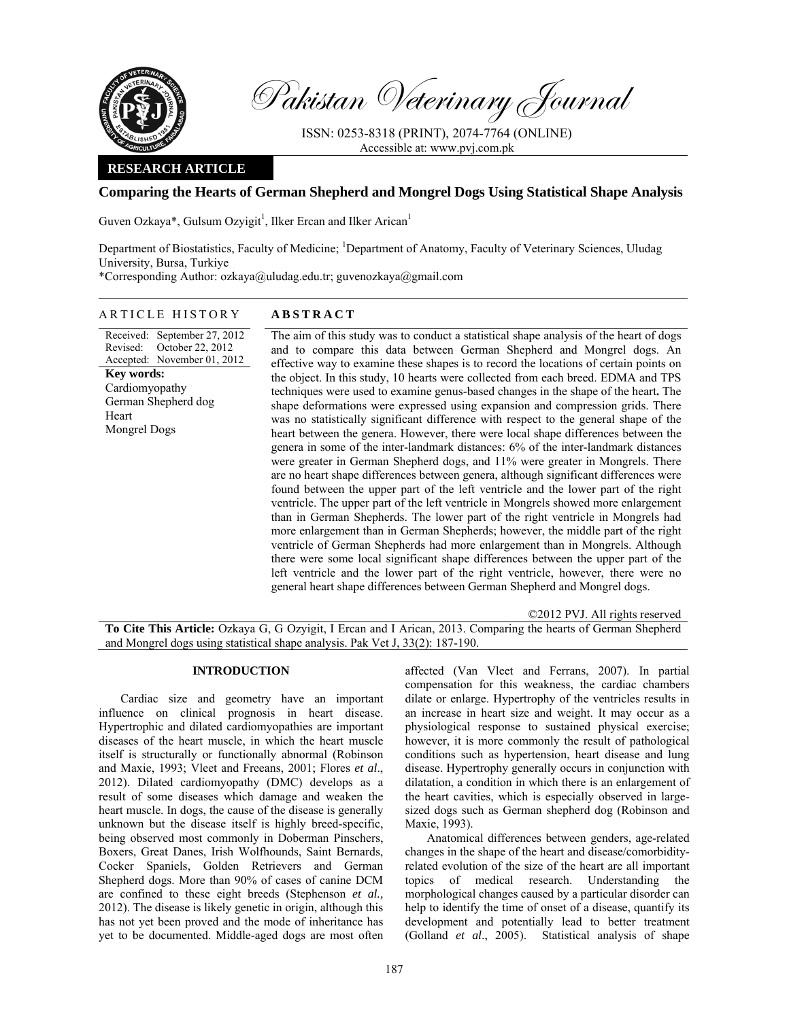

Pakistan Veterinary Journal

ISSN: 0253-8318 (PRINT), 2074-7764 (ONLINE) Accessible at: www.pvj.com.pk

## **RESEARCH ARTICLE**

## **Comparing the Hearts of German Shepherd and Mongrel Dogs Using Statistical Shape Analysis**

Guven Ozkaya\*, Gulsum Ozyigit<sup>1</sup>, Ilker Ercan and Ilker Arican<sup>1</sup>

Department of Biostatistics, Faculty of Medicine; <sup>1</sup>Department of Anatomy, Faculty of Veterinary Sciences, Uludag University, Bursa, Turkiye \*Corresponding Author: ozkaya@uludag.edu.tr; guvenozkaya@gmail.com

# ARTICLE HISTORY **ABSTRACT**

Received: September 27, 2012 Revised: Accepted: November 01, 2012 October 22, 2012 **Key words:**  Cardiomyopathy German Shepherd dog **Heart** Mongrel Dogs

 The aim of this study was to conduct a statistical shape analysis of the heart of dogs and to compare this data between German Shepherd and Mongrel dogs. An effective way to examine these shapes is to record the locations of certain points on the object. In this study, 10 hearts were collected from each breed. EDMA and TPS techniques were used to examine genus-based changes in the shape of the heart**.** The shape deformations were expressed using expansion and compression grids. There was no statistically significant difference with respect to the general shape of the heart between the genera. However, there were local shape differences between the genera in some of the inter-landmark distances: 6% of the inter-landmark distances were greater in German Shepherd dogs, and 11% were greater in Mongrels. There are no heart shape differences between genera, although significant differences were found between the upper part of the left ventricle and the lower part of the right ventricle. The upper part of the left ventricle in Mongrels showed more enlargement than in German Shepherds. The lower part of the right ventricle in Mongrels had more enlargement than in German Shepherds; however, the middle part of the right ventricle of German Shepherds had more enlargement than in Mongrels. Although there were some local significant shape differences between the upper part of the left ventricle and the lower part of the right ventricle, however, there were no general heart shape differences between German Shepherd and Mongrel dogs.

©2012 PVJ. All rights reserved

**To Cite This Article:** Ozkaya G, G Ozyigit, I Ercan and I Arican, 2013. Comparing the hearts of German Shepherd and Mongrel dogs using statistical shape analysis. Pak Vet J, 33(2): 187-190.

#### **INTRODUCTION**

Cardiac size and geometry have an important influence on clinical prognosis in heart disease. Hypertrophic and dilated cardiomyopathies are important diseases of the heart muscle, in which the heart muscle itself is structurally or functionally abnormal (Robinson and Maxie, 1993; Vleet and Freeans, 2001; Flores *et al*., 2012). Dilated cardiomyopathy (DMC) develops as a result of some diseases which damage and weaken the heart muscle. In dogs, the cause of the disease is generally unknown but the disease itself is highly breed-specific, being observed most commonly in Doberman Pinschers, Boxers, Great Danes, Irish Wolfhounds, Saint Bernards, Cocker Spaniels, Golden Retrievers and German Shepherd dogs. More than 90% of cases of canine DCM are confined to these eight breeds (Stephenson *et al.,* 2012). The disease is likely genetic in origin, although this has not yet been proved and the mode of inheritance has yet to be documented. Middle-aged dogs are most often

affected (Van Vleet and Ferrans, 2007). In partial compensation for this weakness, the cardiac chambers dilate or enlarge. Hypertrophy of the ventricles results in an increase in heart size and weight. It may occur as a physiological response to sustained physical exercise; however, it is more commonly the result of pathological conditions such as hypertension, heart disease and lung disease. Hypertrophy generally occurs in conjunction with dilatation, a condition in which there is an enlargement of the heart cavities, which is especially observed in largesized dogs such as German shepherd dog (Robinson and Maxie, 1993).

Anatomical differences between genders, age-related changes in the shape of the heart and disease/comorbidityrelated evolution of the size of the heart are all important topics of medical research. Understanding the morphological changes caused by a particular disorder can help to identify the time of onset of a disease, quantify its development and potentially lead to better treatment (Golland *et al*., 2005). Statistical analysis of shape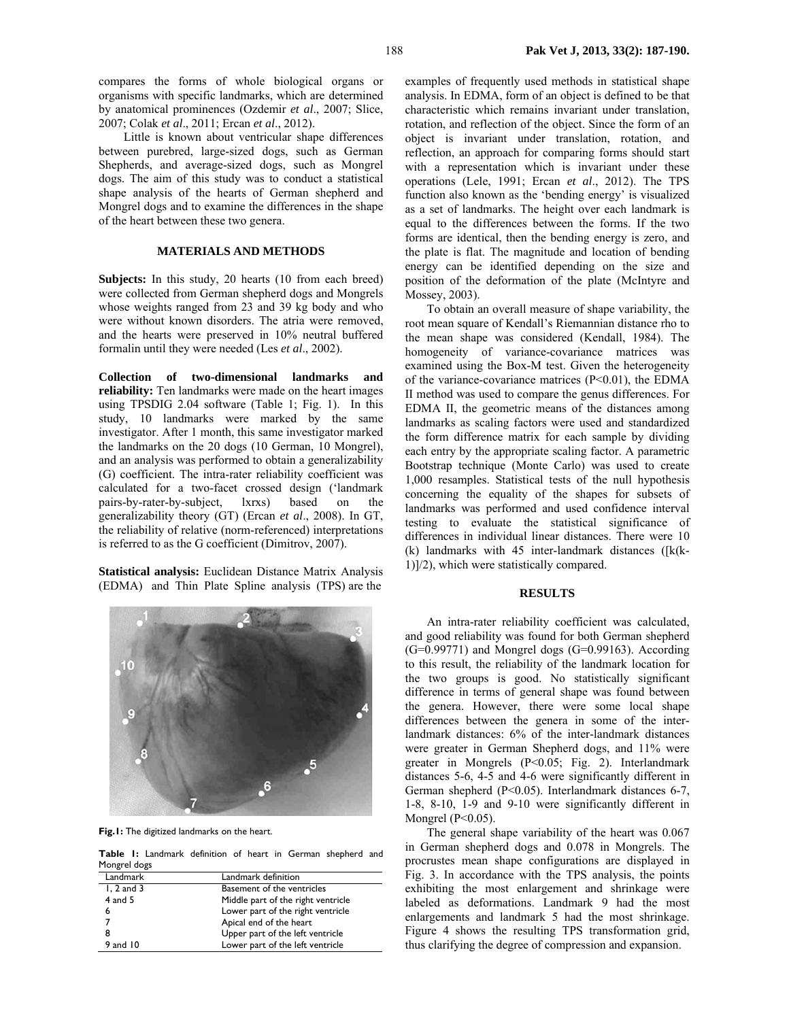compares the forms of whole biological organs or organisms with specific landmarks, which are determined by anatomical prominences (Ozdemir *et al*., 2007; Slice, 2007; Colak *et al*., 2011; Ercan *et al*., 2012).

 Little is known about ventricular shape differences between purebred, large-sized dogs, such as German Shepherds, and average-sized dogs, such as Mongrel dogs. The aim of this study was to conduct a statistical shape analysis of the hearts of German shepherd and Mongrel dogs and to examine the differences in the shape of the heart between these two genera.

#### **MATERIALS AND METHODS**

**Subjects:** In this study, 20 hearts (10 from each breed) were collected from German shepherd dogs and Mongrels whose weights ranged from 23 and 39 kg body and who were without known disorders. The atria were removed, and the hearts were preserved in 10% neutral buffered formalin until they were needed (Les *et al*., 2002).

**Collection of two-dimensional landmarks and reliability:** Ten landmarks were made on the heart images using TPSDIG 2.04 software (Table 1; Fig. 1). In this study, 10 landmarks were marked by the same investigator. After 1 month, this same investigator marked the landmarks on the 20 dogs (10 German, 10 Mongrel), and an analysis was performed to obtain a generalizability (G) coefficient. The intra-rater reliability coefficient was calculated for a two-facet crossed design ('landmark pairs-by-rater-by-subject, lxrxs) based on the generalizability theory (GT) (Ercan *et al*., 2008). In GT, the reliability of relative (norm-referenced) interpretations is referred to as the G coefficient (Dimitrov, 2007).

**Statistical analysis:** Euclidean Distance Matrix Analysis (EDMA) and Thin Plate Spline analysis (TPS) are the



**Fig.1:** The digitized landmarks on the heart.

**Table 1:** Landmark definition of heart in German shepherd and Mongrel dogs

| Landmark       | Landmark definition                |
|----------------|------------------------------------|
| $1, 2$ and $3$ | Basement of the ventricles         |
| 4 and 5        | Middle part of the right ventricle |
| 6              | Lower part of the right ventricle  |
|                | Apical end of the heart            |
|                | Upper part of the left ventricle   |
| $9$ and $10$   | Lower part of the left ventricle   |

examples of frequently used methods in statistical shape analysis. In EDMA, form of an object is defined to be that characteristic which remains invariant under translation, rotation, and reflection of the object. Since the form of an object is invariant under translation, rotation, and reflection, an approach for comparing forms should start with a representation which is invariant under these operations (Lele, 1991; Ercan *et al*., 2012). The TPS function also known as the 'bending energy' is visualized as a set of landmarks. The height over each landmark is equal to the differences between the forms. If the two forms are identical, then the bending energy is zero, and the plate is flat. The magnitude and location of bending energy can be identified depending on the size and position of the deformation of the plate (McIntyre and Mossey, 2003).

To obtain an overall measure of shape variability, the root mean square of Kendall's Riemannian distance rho to the mean shape was considered (Kendall, 1984). The homogeneity of variance-covariance matrices was examined using the Box-M test. Given the heterogeneity of the variance-covariance matrices (P<0.01), the EDMA II method was used to compare the genus differences. For EDMA II, the geometric means of the distances among landmarks as scaling factors were used and standardized the form difference matrix for each sample by dividing each entry by the appropriate scaling factor. A parametric Bootstrap technique (Monte Carlo) was used to create 1,000 resamples. Statistical tests of the null hypothesis concerning the equality of the shapes for subsets of landmarks was performed and used confidence interval testing to evaluate the statistical significance of differences in individual linear distances. There were 10 (k) landmarks with 45 inter-landmark distances ([k(k-1)]/2), which were statistically compared.

## **RESULTS**

An intra-rater reliability coefficient was calculated, and good reliability was found for both German shepherd  $(G=0.99771)$  and Mongrel dogs  $(G=0.99163)$ . According to this result, the reliability of the landmark location for the two groups is good. No statistically significant difference in terms of general shape was found between the genera. However, there were some local shape differences between the genera in some of the interlandmark distances: 6% of the inter-landmark distances were greater in German Shepherd dogs, and 11% were greater in Mongrels (P<0.05; Fig. 2). Interlandmark distances 5-6, 4-5 and 4-6 were significantly different in German shepherd (P<0.05). Interlandmark distances 6-7, 1-8, 8-10, 1-9 and 9-10 were significantly different in Mongrel (P<0.05).

The general shape variability of the heart was 0.067 in German shepherd dogs and 0.078 in Mongrels. The procrustes mean shape configurations are displayed in Fig. 3. In accordance with the TPS analysis, the points exhibiting the most enlargement and shrinkage were labeled as deformations. Landmark 9 had the most enlargements and landmark 5 had the most shrinkage. Figure 4 shows the resulting TPS transformation grid, thus clarifying the degree of compression and expansion.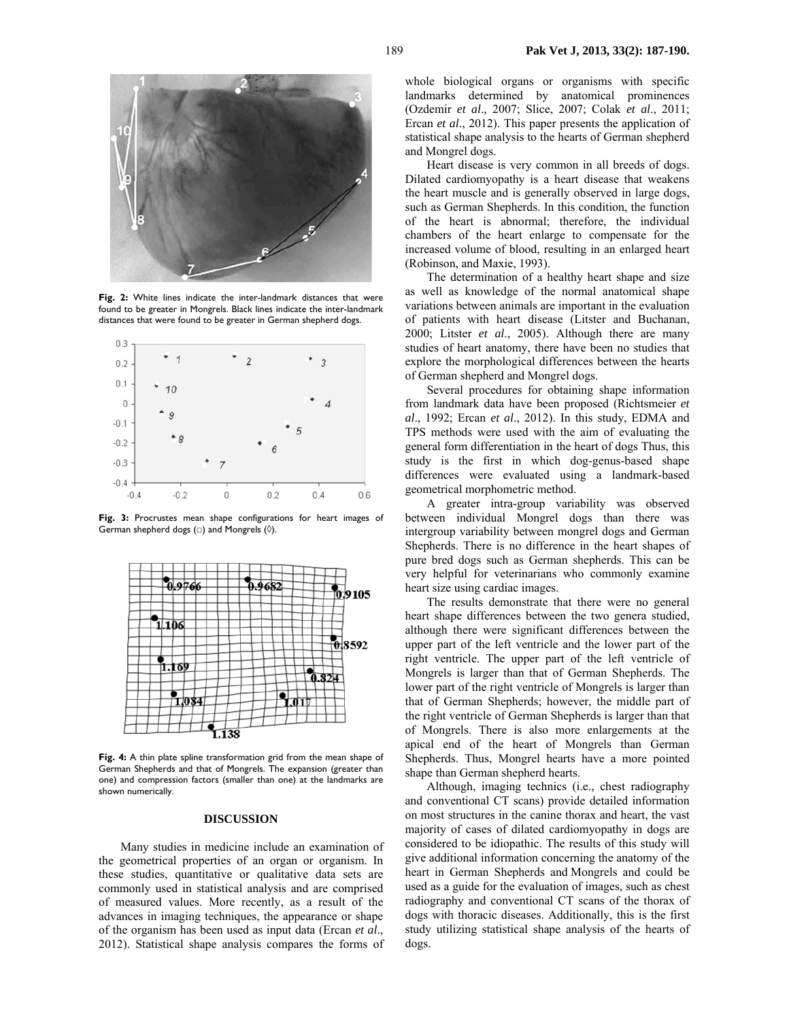

**Fig. 2:** White lines indicate the inter-landmark distances that were found to be greater in Mongrels. Black lines indicate the inter-landmark distances that were found to be greater in German shepherd dogs.



**Fig. 3:** Procrustes mean shape configurations for heart images of German shepherd dogs  $(\square)$  and Mongrels  $(\lozenge)$ .



**Fig. 4:** A thin plate spline transformation grid from the mean shape of German Shepherds and that of Mongrels. The expansion (greater than one) and compression factors (smaller than one) at the landmarks are shown numerically.

#### **DISCUSSION**

Many studies in medicine include an examination of the geometrical properties of an organ or organism. In these studies, quantitative or qualitative data sets are commonly used in statistical analysis and are comprised of measured values. More recently, as a result of the advances in imaging techniques, the appearance or shape of the organism has been used as input data (Ercan *et al*., 2012). Statistical shape analysis compares the forms of

whole biological organs or organisms with specific landmarks determined by anatomical prominences (Ozdemir *et al*., 2007; Slice, 2007; Colak *et al*., 2011; Ercan *et al*., 2012). This paper presents the application of statistical shape analysis to the hearts of German shepherd and Mongrel dogs.

Heart disease is very common in all breeds of dogs. Dilated cardiomyopathy is a heart disease that weakens the heart muscle and is generally observed in large dogs, such as German Shepherds. In this condition, the function of the heart is abnormal; therefore, the individual chambers of the heart enlarge to compensate for the increased volume of blood, resulting in an enlarged heart (Robinson, and Maxie, 1993).

The determination of a healthy heart shape and size as well as knowledge of the normal anatomical shape variations between animals are important in the evaluation of patients with heart disease (Litster and Buchanan, 2000; Litster *et al*., 2005). Although there are many studies of heart anatomy, there have been no studies that explore the morphological differences between the hearts of German shepherd and Mongrel dogs.

Several procedures for obtaining shape information from landmark data have been proposed (Richtsmeier *et al*., 1992; Ercan *et al*., 2012). In this study, EDMA and TPS methods were used with the aim of evaluating the general form differentiation in the heart of dogs Thus, this study is the first in which dog-genus-based shape differences were evaluated using a landmark-based geometrical morphometric method.

A greater intra-group variability was observed between individual Mongrel dogs than there was intergroup variability between mongrel dogs and German Shepherds. There is no difference in the heart shapes of pure bred dogs such as German shepherds. This can be very helpful for veterinarians who commonly examine heart size using cardiac images.

The results demonstrate that there were no general heart shape differences between the two genera studied, although there were significant differences between the upper part of the left ventricle and the lower part of the right ventricle. The upper part of the left ventricle of Mongrels is larger than that of German Shepherds. The lower part of the right ventricle of Mongrels is larger than that of German Shepherds; however, the middle part of the right ventricle of German Shepherds is larger than that of Mongrels. There is also more enlargements at the apical end of the heart of Mongrels than German Shepherds. Thus, Mongrel hearts have a more pointed shape than German shepherd hearts.

Although, imaging technics (i.e., chest radiography and conventional CT scans) provide detailed information on most structures in the canine thorax and heart, the vast majority of cases of dilated cardiomyopathy in dogs are considered to be idiopathic. The results of this study will give additional information concerning the anatomy of the heart in German Shepherds and Mongrels and could be used as a guide for the evaluation of images, such as chest radiography and conventional CT scans of the thorax of dogs with thoracic diseases. Additionally, this is the first study utilizing statistical shape analysis of the hearts of dogs.